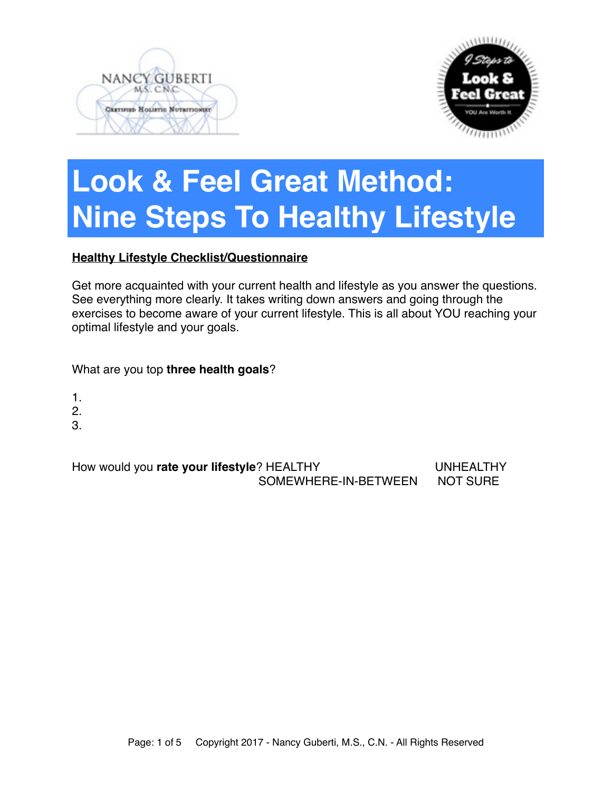



# **Look & Feel Great Method: Nine Steps To Healthy Lifestyle**

### **Healthy Lifestyle Checklist/Questionnaire**

Get more acquainted with your current health and lifestyle as you answer the questions. See everything more clearly. It takes writing down answers and going through the exercises to become aware of your current lifestyle. This is all about YOU reaching your optimal lifestyle and your goals.

What are you top **three health goals**?

- 1.
- 2.
- 3.

How would you **rate your lifestyle**? HEALTHY **Now would you rate your lifestyle**? HEALTHY SOMEWHERE-IN-BETWEEN NOT SURE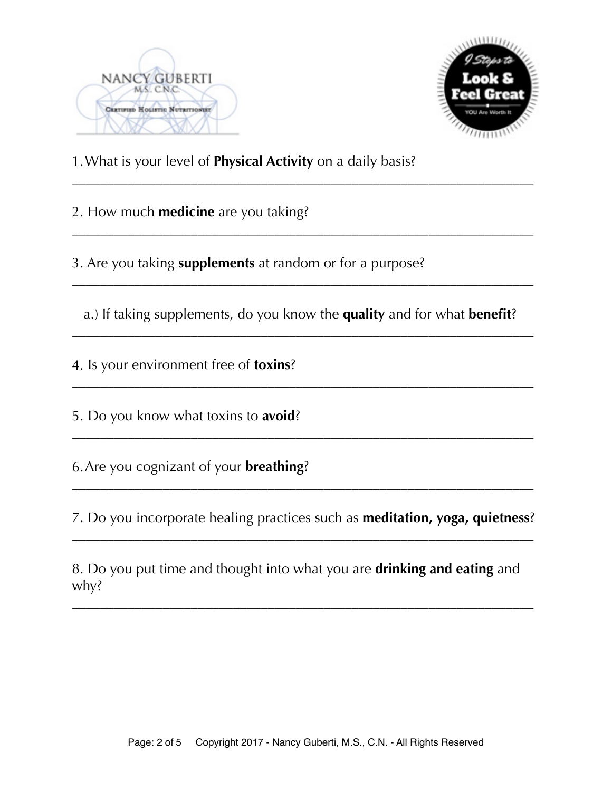



1.What is your level of **Physical Activity** on a daily basis?

2. How much **medicine** are you taking?

3. Are you taking **supplements** at random or for a purpose?

 a.) If taking supplements, do you know the **quality** and for what **benefit**? \_\_\_\_\_\_\_\_\_\_\_\_\_\_\_\_\_\_\_\_\_\_\_\_\_\_\_\_\_\_\_\_\_\_\_\_\_\_\_\_\_\_\_\_\_\_\_\_\_\_\_\_\_\_\_\_\_\_\_\_\_\_\_\_\_\_

\_\_\_\_\_\_\_\_\_\_\_\_\_\_\_\_\_\_\_\_\_\_\_\_\_\_\_\_\_\_\_\_\_\_\_\_\_\_\_\_\_\_\_\_\_\_\_\_\_\_\_\_\_\_\_\_\_\_\_\_\_\_\_\_\_\_

\_\_\_\_\_\_\_\_\_\_\_\_\_\_\_\_\_\_\_\_\_\_\_\_\_\_\_\_\_\_\_\_\_\_\_\_\_\_\_\_\_\_\_\_\_\_\_\_\_\_\_\_\_\_\_\_\_\_\_\_\_\_\_\_\_\_

\_\_\_\_\_\_\_\_\_\_\_\_\_\_\_\_\_\_\_\_\_\_\_\_\_\_\_\_\_\_\_\_\_\_\_\_\_\_\_\_\_\_\_\_\_\_\_\_\_\_\_\_\_\_\_\_\_\_\_\_\_\_\_\_\_\_

\_\_\_\_\_\_\_\_\_\_\_\_\_\_\_\_\_\_\_\_\_\_\_\_\_\_\_\_\_\_\_\_\_\_\_\_\_\_\_\_\_\_\_\_\_\_\_\_\_\_\_\_\_\_\_\_\_\_\_\_\_\_\_\_\_\_

\_\_\_\_\_\_\_\_\_\_\_\_\_\_\_\_\_\_\_\_\_\_\_\_\_\_\_\_\_\_\_\_\_\_\_\_\_\_\_\_\_\_\_\_\_\_\_\_\_\_\_\_\_\_\_\_\_\_\_\_\_\_\_\_\_\_

4. Is your environment free of **toxins**?

5. Do you know what toxins to **avoid**?

6.Are you cognizant of your **breathing**?

7. Do you incorporate healing practices such as **meditation, yoga, quietness**? \_\_\_\_\_\_\_\_\_\_\_\_\_\_\_\_\_\_\_\_\_\_\_\_\_\_\_\_\_\_\_\_\_\_\_\_\_\_\_\_\_\_\_\_\_\_\_\_\_\_\_\_\_\_\_\_\_\_\_\_\_\_\_\_\_\_

\_\_\_\_\_\_\_\_\_\_\_\_\_\_\_\_\_\_\_\_\_\_\_\_\_\_\_\_\_\_\_\_\_\_\_\_\_\_\_\_\_\_\_\_\_\_\_\_\_\_\_\_\_\_\_\_\_\_\_\_\_\_\_\_\_\_

8. Do you put time and thought into what you are **drinking and eating** and why?

\_\_\_\_\_\_\_\_\_\_\_\_\_\_\_\_\_\_\_\_\_\_\_\_\_\_\_\_\_\_\_\_\_\_\_\_\_\_\_\_\_\_\_\_\_\_\_\_\_\_\_\_\_\_\_\_\_\_\_\_\_\_\_\_\_\_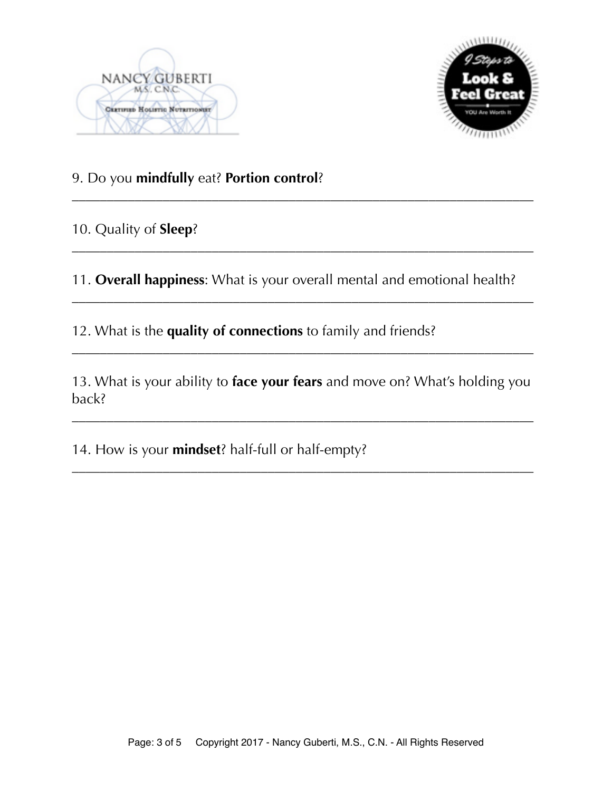



## 9. Do you **mindfully** eat? **Portion control**?

10. Quality of **Sleep**?

11. **Overall happiness**: What is your overall mental and emotional health?

\_\_\_\_\_\_\_\_\_\_\_\_\_\_\_\_\_\_\_\_\_\_\_\_\_\_\_\_\_\_\_\_\_\_\_\_\_\_\_\_\_\_\_\_\_\_\_\_\_\_\_\_\_\_\_\_\_\_\_\_\_\_\_\_\_\_

\_\_\_\_\_\_\_\_\_\_\_\_\_\_\_\_\_\_\_\_\_\_\_\_\_\_\_\_\_\_\_\_\_\_\_\_\_\_\_\_\_\_\_\_\_\_\_\_\_\_\_\_\_\_\_\_\_\_\_\_\_\_\_\_\_\_

\_\_\_\_\_\_\_\_\_\_\_\_\_\_\_\_\_\_\_\_\_\_\_\_\_\_\_\_\_\_\_\_\_\_\_\_\_\_\_\_\_\_\_\_\_\_\_\_\_\_\_\_\_\_\_\_\_\_\_\_\_\_\_\_\_\_

12. What is the **quality of connections** to family and friends?

13. What is your ability to **face your fears** and move on? What's holding you back?

\_\_\_\_\_\_\_\_\_\_\_\_\_\_\_\_\_\_\_\_\_\_\_\_\_\_\_\_\_\_\_\_\_\_\_\_\_\_\_\_\_\_\_\_\_\_\_\_\_\_\_\_\_\_\_\_\_\_\_\_\_\_\_\_\_\_

\_\_\_\_\_\_\_\_\_\_\_\_\_\_\_\_\_\_\_\_\_\_\_\_\_\_\_\_\_\_\_\_\_\_\_\_\_\_\_\_\_\_\_\_\_\_\_\_\_\_\_\_\_\_\_\_\_\_\_\_\_\_\_\_\_\_

\_\_\_\_\_\_\_\_\_\_\_\_\_\_\_\_\_\_\_\_\_\_\_\_\_\_\_\_\_\_\_\_\_\_\_\_\_\_\_\_\_\_\_\_\_\_\_\_\_\_\_\_\_\_\_\_\_\_\_\_\_\_\_\_\_\_

14. How is your **mindset**? half-full or half-empty?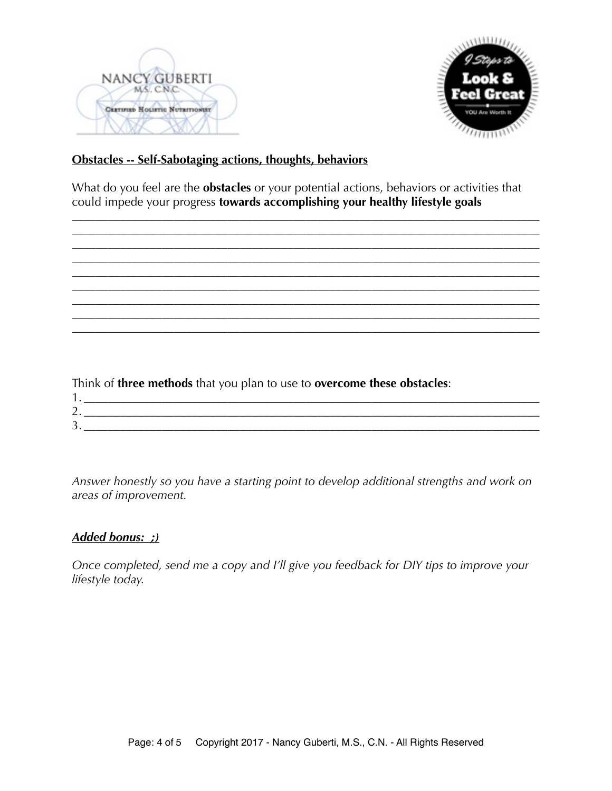



#### **Obstacles -- Self-Sabotaging actions, thoughts, behaviors**

What do you feel are the **obstacles** or your potential actions, behaviors or activities that could impede your progress **towards accomplishing your healthy lifestyle goals** 

\_\_\_\_\_\_\_\_\_\_\_\_\_\_\_\_\_\_\_\_\_\_\_\_\_\_\_\_\_\_\_\_\_\_\_\_\_\_\_\_\_\_\_\_\_\_\_\_\_\_\_\_\_\_\_\_\_\_\_\_\_\_\_\_\_\_\_\_\_\_\_\_\_\_\_\_\_\_ \_\_\_\_\_\_\_\_\_\_\_\_\_\_\_\_\_\_\_\_\_\_\_\_\_\_\_\_\_\_\_\_\_\_\_\_\_\_\_\_\_\_\_\_\_\_\_\_\_\_\_\_\_\_\_\_\_\_\_\_\_\_\_\_\_\_\_\_\_\_\_\_\_\_\_\_\_\_ \_\_\_\_\_\_\_\_\_\_\_\_\_\_\_\_\_\_\_\_\_\_\_\_\_\_\_\_\_\_\_\_\_\_\_\_\_\_\_\_\_\_\_\_\_\_\_\_\_\_\_\_\_\_\_\_\_\_\_\_\_\_\_\_\_\_\_\_\_\_\_\_\_\_\_\_\_\_

\_\_\_\_\_\_\_\_\_\_\_\_\_\_\_\_\_\_\_\_\_\_\_\_\_\_\_\_\_\_\_\_\_\_\_\_\_\_\_\_\_\_\_\_\_\_\_\_\_\_\_\_\_\_\_\_\_\_\_\_\_\_\_\_\_\_\_\_\_\_\_\_\_\_\_\_\_\_ \_\_\_\_\_\_\_\_\_\_\_\_\_\_\_\_\_\_\_\_\_\_\_\_\_\_\_\_\_\_\_\_\_\_\_\_\_\_\_\_\_\_\_\_\_\_\_\_\_\_\_\_\_\_\_\_\_\_\_\_\_\_\_\_\_\_\_\_\_\_\_\_\_\_\_\_\_\_

\_\_\_\_\_\_\_\_\_\_\_\_\_\_\_\_\_\_\_\_\_\_\_\_\_\_\_\_\_\_\_\_\_\_\_\_\_\_\_\_\_\_\_\_\_\_\_\_\_\_\_\_\_\_\_\_\_\_\_\_\_\_\_\_\_\_\_\_\_\_\_\_\_\_\_\_\_\_ \_\_\_\_\_\_\_\_\_\_\_\_\_\_\_\_\_\_\_\_\_\_\_\_\_\_\_\_\_\_\_\_\_\_\_\_\_\_\_\_\_\_\_\_\_\_\_\_\_\_\_\_\_\_\_\_\_\_\_\_\_\_\_\_\_\_\_\_\_\_\_\_\_\_\_\_\_\_



*Answer honestly so you have a starting point to develop additional strengths and work on areas of improvement.* 

#### *Added bonus: ;)*

*Once completed, send me a copy and I'll give you feedback for DIY tips to improve your lifestyle today.*